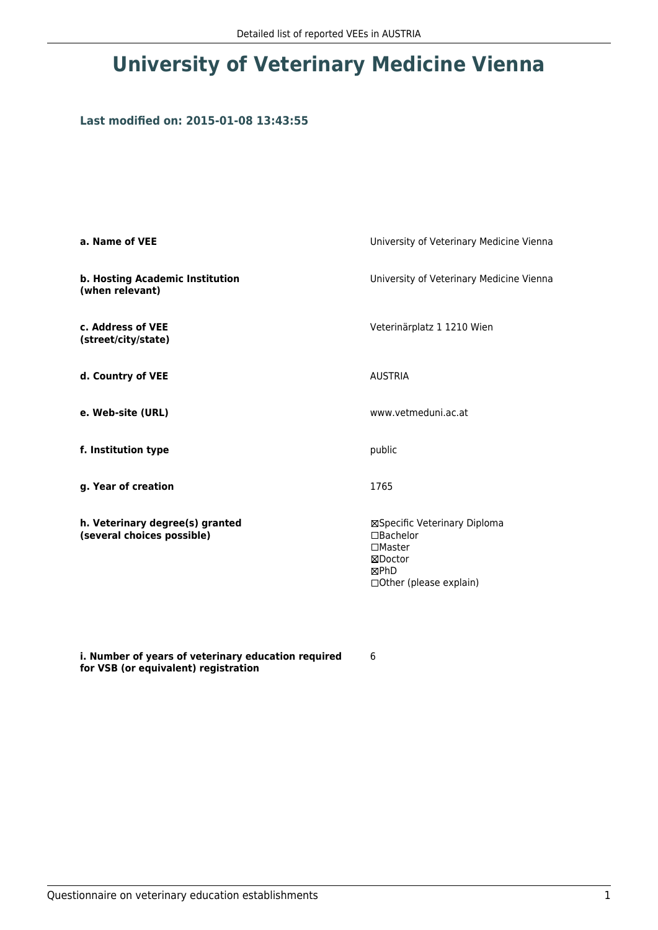# **University of Veterinary Medicine Vienna**

## **Last modified on: 2015-01-08 13:43:55**

| a. Name of VEE                                                | University of Veterinary Medicine Vienna                                                                        |
|---------------------------------------------------------------|-----------------------------------------------------------------------------------------------------------------|
| b. Hosting Academic Institution<br>(when relevant)            | University of Veterinary Medicine Vienna                                                                        |
| c. Address of VEE<br>(street/city/state)                      | Veterinärplatz 1 1210 Wien                                                                                      |
| d. Country of VEE                                             | <b>AUSTRIA</b>                                                                                                  |
| e. Web-site (URL)                                             | www.vetmeduni.ac.at                                                                                             |
| f. Institution type                                           | public                                                                                                          |
| g. Year of creation                                           | 1765                                                                                                            |
| h. Veterinary degree(s) granted<br>(several choices possible) | ⊠Specific Veterinary Diploma<br>$\Box$ Bachelor<br>$\Box$ Master<br>⊠Doctor<br>⊠PhD<br>□ Other (please explain) |

**i. Number of years of veterinary education required for VSB (or equivalent) registration**

6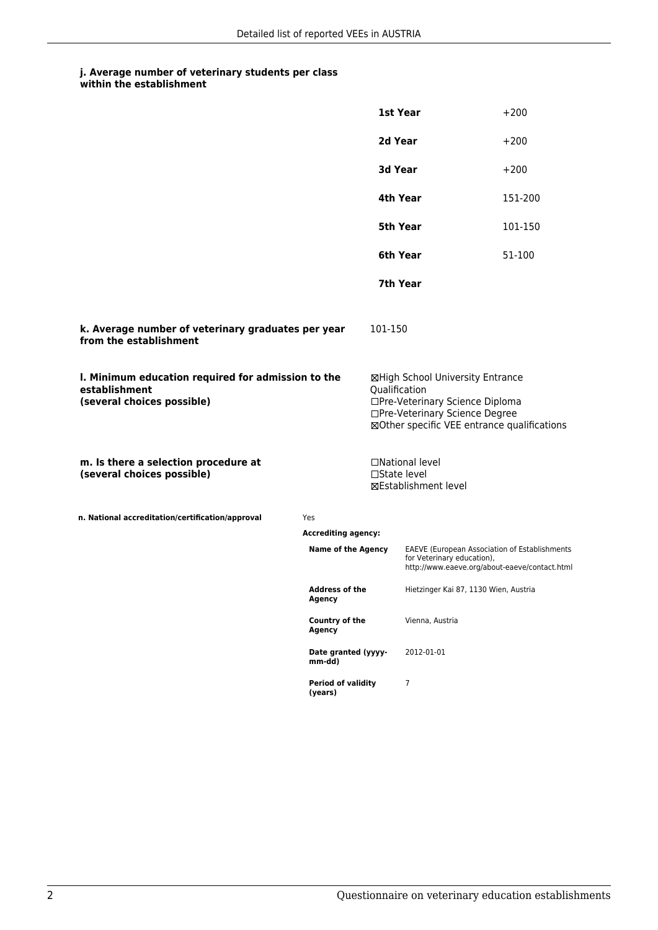## **j. Average number of veterinary students per class**

| within the establishment |
|--------------------------|
|                          |

|                                                                                                   |                                                                                              | <b>1st Year</b>                                                                                                                                                       |                                                                                                                                     | $+200$  |  |
|---------------------------------------------------------------------------------------------------|----------------------------------------------------------------------------------------------|-----------------------------------------------------------------------------------------------------------------------------------------------------------------------|-------------------------------------------------------------------------------------------------------------------------------------|---------|--|
|                                                                                                   |                                                                                              | 2d Year                                                                                                                                                               |                                                                                                                                     | $+200$  |  |
|                                                                                                   |                                                                                              | 3d Year                                                                                                                                                               |                                                                                                                                     | $+200$  |  |
|                                                                                                   |                                                                                              | 4th Year                                                                                                                                                              |                                                                                                                                     | 151-200 |  |
|                                                                                                   |                                                                                              | 5th Year                                                                                                                                                              |                                                                                                                                     | 101-150 |  |
|                                                                                                   |                                                                                              | 6th Year                                                                                                                                                              |                                                                                                                                     | 51-100  |  |
|                                                                                                   |                                                                                              | 7th Year                                                                                                                                                              |                                                                                                                                     |         |  |
| k. Average number of veterinary graduates per year<br>from the establishment                      |                                                                                              |                                                                                                                                                                       | 101-150                                                                                                                             |         |  |
| I. Minimum education required for admission to the<br>establishment<br>(several choices possible) |                                                                                              | ⊠High School University Entrance<br>Qualification<br>□Pre-Veterinary Science Diploma<br>□Pre-Veterinary Science Degree<br>⊠Other specific VEE entrance qualifications |                                                                                                                                     |         |  |
| m. Is there a selection procedure at<br>(several choices possible)                                |                                                                                              |                                                                                                                                                                       | □National level<br>□State level<br>⊠Establishment level                                                                             |         |  |
| n. National accreditation/certification/approval                                                  | Yes                                                                                          |                                                                                                                                                                       |                                                                                                                                     |         |  |
| <b>Accrediting agency:</b>                                                                        |                                                                                              |                                                                                                                                                                       |                                                                                                                                     |         |  |
|                                                                                                   | <b>Name of the Agency</b>                                                                    |                                                                                                                                                                       | <b>EAEVE (European Association of Establishments</b><br>for Veterinary education),<br>http://www.eaeve.org/about-eaeve/contact.html |         |  |
|                                                                                                   | <b>Address of the</b><br>Agency<br>Country of the<br>Agency<br>Date granted (yyyy-<br>mm-dd) |                                                                                                                                                                       | Hietzinger Kai 87, 1130 Wien, Austria                                                                                               |         |  |
|                                                                                                   |                                                                                              |                                                                                                                                                                       | Vienna, Austria                                                                                                                     |         |  |
|                                                                                                   |                                                                                              |                                                                                                                                                                       | 2012-01-01                                                                                                                          |         |  |
|                                                                                                   | <b>Period of validity</b><br>(years)                                                         |                                                                                                                                                                       | $\overline{7}$                                                                                                                      |         |  |